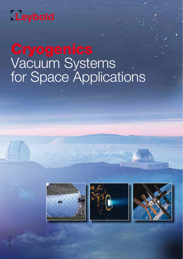## Leybold

# Vacuum Systems for Space Applications





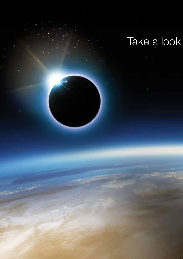## Take a look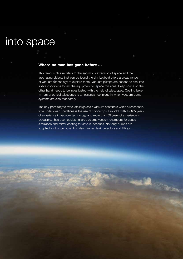## into space

### Where no man has gone before ...

This famous phrase refers to the enormous extension of space and the fascinating objects that can be found therein. Leybold offers a broad range of vacuum technology to explore them. Vacuum pumps are needed to simulate space conditions to test the equipment for space missions. Deep space on the other hand needs to be investigated with the help of telescopes. Coating large mirrors of optical telescopes is an essential technique in which vacuum pump systems are also mandatory.

The only possibility to evacuate large scale vacuum chambers within a reasonable time under clean conditions is the use of cryopumps. Leybold, with its 165 years of experience in vacuum technology and more than 50 years of experience in cryogenics, has been equipping large volume vacuum chambers for space simulation and mirror coating for several decades. Not only pumps are supplied for this purpose, but also gauges, leak detectors and fittings.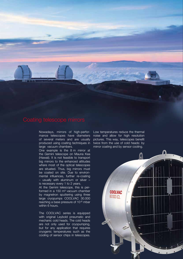Nowadays, mirrors of high-performance telescopes have diameters of several meters and are usually produced using coating techniques in large vacuum chambers.

One example is the 8 m mirror at the Gemini telescope on Mauna Kea (Hawaii). It is not feasible to transport big mirrors to the enhanced altitudes where most of the optical telescopes are situated. Thus, big mirrors must be coated on site. Due to environmental influences, further re-coating – usually with aluminum or silver – is necessary every 1 to 2 years.

At the Gemini telescope, this is performed in a 150 m<sup>3</sup> vacuum chamber by magnetron sputtering using three large cryopumps COOLVAC 30.000 reaching a base pressure of 10-6 mbar within 6 hours.

The COOLVAC series is equipped with original Leybold pneumatic and mechanic cold heads. The cold heads are not only used for cryopumping, but for any application that requires cryogenic temperatures such as the cooling of sensor chips in telescopes. Low temperatures reduce the thermal noise and allow for high resolution pictures. This way, telescopes benefit twice from the use of cold heads: by mirror coating and by sensor cooling.

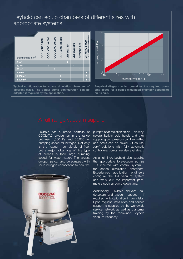### Leybold can equip chambers of different sizes with appropriate systems



Typical configuration for space simulation chambers of different sizes. The actual pump configuration can be adapted if required by the application.



Empirical diagram which describes the required pumping speed for a space simulation chamber depending on its size.

Leybold has a broad portfolio of COOLVAC cryopumps in the range between 1,500 l/s and 60,000 l/s pumping speed for nitrogen. Not only is the vacuum completely oil-free, but a major advantage of this type of pumps is their large pumping speed for water vapor. The largest cryopumps can also be equipped with liquid nitrogen connections to cool the



pump's heat radiation shield. This way, several built-in cold heads and their supplying compressors can be omitted and costs can be saved. Of course, "dry" solutions with fully automatic control electronics are also available.

As a full liner, Leybold also supplies the appropriate forevacuum pumps – if required with control system – for space simulation chambers. Experienced application engineers configure the full vacuum system and work out the important parameters such as pump down time.

Additionally, Leybold delivers leak detectors and vacuum gauges – if required with calibration in own labs. Upon request, installation and service support is supplied by the worldwide service network as well as customer training by the renowned Leybold Vacuum Academy.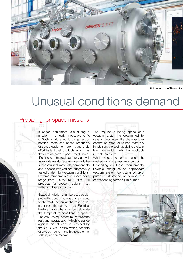

© by courtesy of University

## Unusual conditions demand

### Preparing for space missions

If space equipment fails during a mission, it is nearly impossible to fix it. Such a failure would trigger astronomical costs and hence producers of space equipment are making a big effort to test their products as long as they are on earth. Space travel, scientific and commercial satellites, as well as extraterrestrial research can only be successful if all materials, components and devices involved are successfully tested under high-vacuum conditions. Extreme temperatures in space often range from -200°C to +150°C. All products for space missions must withstand these conditions.

Space simulation chambers are equipped with vacuum pumps and a shroud to thermally decouple the test equipment from the surroundings. Electrical heaters inside the chamber simulate the temperature conditions in space. The vacuum equipment must resist the resulting heat radiation. A high tolerance against this influence is provided by the COOLVAC series which consists of cryopumps with the highest thermal stability on the market.

The required pumping speed of a vacuum system is determined by several parameters like chamber size, desorption rates, or utilized materials. In addition, the sealings define the total leak rate which limits the reachable ultimate pressure.

When process gases are used, the desired working pressure is crucial. Depending on these requirements, Leybold configures an appropriate vacuum system consisting of cryopumps, turbomolecular pumps and corresponding forevacuum pumps.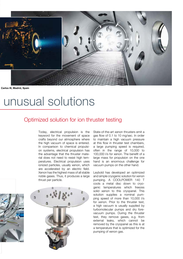

Carlos III, Madrid, Spain

## unusual solutions

### Optimized solution for ion thruster testing

Today, electrical propulsion is the keyword for the movement of space crafts beyond our atmosphere where the high vacuum of space is entered. In comparison to chemical propulsion systems, electrical propulsion has the advantage that the thruster material does not need to resist high temperatures. Electrical propulsion uses ionized particles, usually xenon, which are accelerated by an electric field. Xenon has the highest mass of all stable noble gases. Thus, it produces a large thrust per particle.





State-of-the-art xenon thrusters emit a gas flow of 0.1 to 10 mg/sec. In order to maintain a high vacuum pressure at this flow in thruster test chambers, a large pumping speed is required, often in the range of 10,000 to 100,000 l/s for xenon. The benefit of a large mass for propulsion on the one hand is an enormous challenge for vacuum pumps on the other hand.

Leybold has developed an optimized and simple cryogenic solution for xenon pumping. A COOLPOWER 140 T cools a metal disc down to cryogenic temperatures which freezes solid xenon to this cryopanel. This solution supplies a nominal pumping speed of more than 10,000 l/s for xenon. Prior to the thruster test, a high vacuum is usually supplied by turbomolecular pumps and dry forevacuum pumps. During the thruster test, they remove gases, e.g. from external leaks, which cannot be removed by the cryopanel as this is at a temperature that is optimized for the pumping of xenon gas.